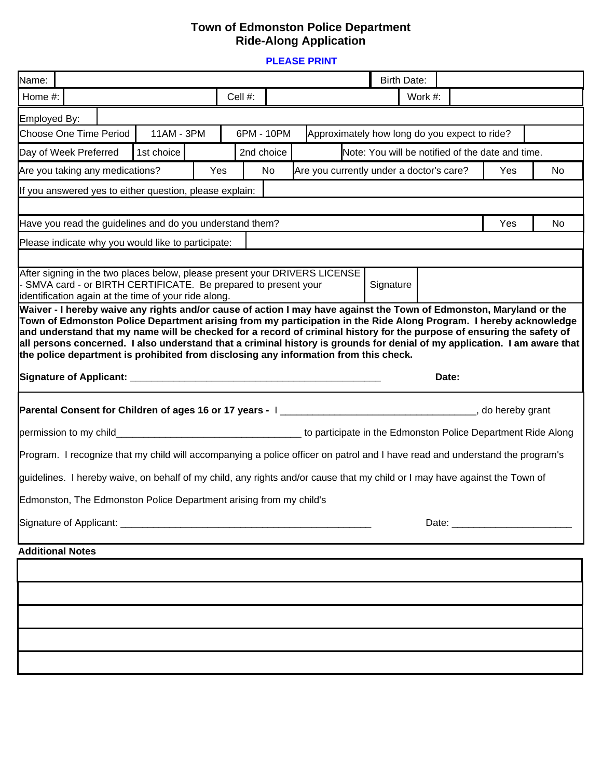## **Town of Edmonston Police Department Ride-Along Application**

**PLEASE PRINT**

| Name:                                                                                                                                                                                                                                                                                                                                                                                                                                                                     |            | <b>Birth Date:</b>                               |    |  |
|---------------------------------------------------------------------------------------------------------------------------------------------------------------------------------------------------------------------------------------------------------------------------------------------------------------------------------------------------------------------------------------------------------------------------------------------------------------------------|------------|--------------------------------------------------|----|--|
| Home #:                                                                                                                                                                                                                                                                                                                                                                                                                                                                   | Cell #:    | Work #:                                          |    |  |
| Employed By:                                                                                                                                                                                                                                                                                                                                                                                                                                                              |            |                                                  |    |  |
| 11AM - 3PM<br>Choose One Time Period                                                                                                                                                                                                                                                                                                                                                                                                                                      | 6PM - 10PM | Approximately how long do you expect to ride?    |    |  |
| 1st choice<br>Day of Week Preferred                                                                                                                                                                                                                                                                                                                                                                                                                                       | 2nd choice | Note: You will be notified of the date and time. |    |  |
| Are you taking any medications?                                                                                                                                                                                                                                                                                                                                                                                                                                           | Yes<br>No  | Are you currently under a doctor's care?<br>Yes  | No |  |
| If you answered yes to either question, please explain:                                                                                                                                                                                                                                                                                                                                                                                                                   |            |                                                  |    |  |
|                                                                                                                                                                                                                                                                                                                                                                                                                                                                           |            |                                                  |    |  |
| Have you read the guidelines and do you understand them?                                                                                                                                                                                                                                                                                                                                                                                                                  |            | Yes                                              | No |  |
| Please indicate why you would like to participate:                                                                                                                                                                                                                                                                                                                                                                                                                        |            |                                                  |    |  |
| After signing in the two places below, please present your DRIVERS LICENSE<br>- SMVA card - or BIRTH CERTIFICATE. Be prepared to present your<br>Signature<br>identification again at the time of your ride along.                                                                                                                                                                                                                                                        |            |                                                  |    |  |
| Town of Edmonston Police Department arising from my participation in the Ride Along Program. I hereby acknowledge<br>and understand that my name will be checked for a record of criminal history for the purpose of ensuring the safety of<br>all persons concerned. I also understand that a criminal history is grounds for denial of my application. I am aware that<br>the police department is prohibited from disclosing any information from this check.<br>Date: |            |                                                  |    |  |
|                                                                                                                                                                                                                                                                                                                                                                                                                                                                           |            |                                                  |    |  |
|                                                                                                                                                                                                                                                                                                                                                                                                                                                                           |            |                                                  |    |  |
|                                                                                                                                                                                                                                                                                                                                                                                                                                                                           |            |                                                  |    |  |
| Program. I recognize that my child will accompanying a police officer on patrol and I have read and understand the program's                                                                                                                                                                                                                                                                                                                                              |            |                                                  |    |  |
| guidelines. I hereby waive, on behalf of my child, any rights and/or cause that my child or I may have against the Town of                                                                                                                                                                                                                                                                                                                                                |            |                                                  |    |  |
|                                                                                                                                                                                                                                                                                                                                                                                                                                                                           |            |                                                  |    |  |
| Edmonston, The Edmonston Police Department arising from my child's                                                                                                                                                                                                                                                                                                                                                                                                        |            |                                                  |    |  |
|                                                                                                                                                                                                                                                                                                                                                                                                                                                                           |            |                                                  |    |  |
|                                                                                                                                                                                                                                                                                                                                                                                                                                                                           |            |                                                  |    |  |
| <b>Additional Notes</b>                                                                                                                                                                                                                                                                                                                                                                                                                                                   |            |                                                  |    |  |
|                                                                                                                                                                                                                                                                                                                                                                                                                                                                           |            |                                                  |    |  |
|                                                                                                                                                                                                                                                                                                                                                                                                                                                                           |            |                                                  |    |  |
|                                                                                                                                                                                                                                                                                                                                                                                                                                                                           |            |                                                  |    |  |